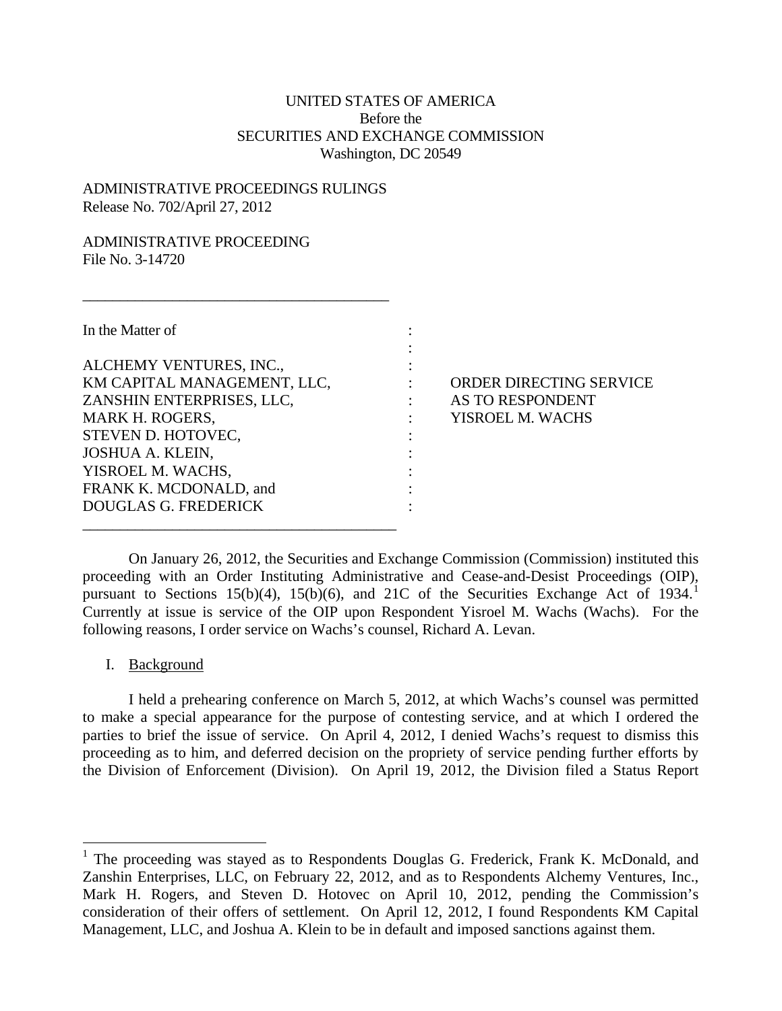# UNITED STATES OF AMERICA Before the SECURITIES AND EXCHANGE COMMISSION Washington, DC 20549

:

### ADMINISTRATIVE PROCEEDINGS RULINGS Release No. 702/April 27, 2012

 $\frac{1}{2}$  , and the set of the set of the set of the set of the set of the set of the set of the set of the set of the set of the set of the set of the set of the set of the set of the set of the set of the set of the set

## ADMINISTRATIVE PROCEEDING File No. 3-14720

In the Matter of :

ALCHEMY VENTURES, INC.,  $\qquad \qquad :$ KM CAPITAL MANAGEMENT, LLC, : ORDER DIRECTING SERVICE ZANSHIN ENTERPRISES, LLC,  $\qquad \qquad : \qquad$  AS TO RESPONDENT MARK H. ROGERS,  $\cdot$  YISROEL M. WACHS STEVEN D. HOTOVEC, JOSHUA A. KLEIN, : YISROEL M. WACHS, FRANK K. MCDONALD, and DOUGLAS G. FREDERICK :

 $\frac{1}{2}$  , and the set of the set of the set of the set of the set of the set of the set of the set of the set of the set of the set of the set of the set of the set of the set of the set of the set of the set of the set

On January 26, 2012, the Securities and Exchange Commission (Commission) instituted this proceeding with an Order Instituting Administrative and Cease-and-Desist Proceedings (OIP), pursuant to Sections [1](#page-0-0)5(b)(4), 15(b)(6), and 21C of the Securities Exchange Act of 1934. Currently at issue is service of the OIP upon Respondent Yisroel M. Wachs (Wachs). For the following reasons, I order service on Wachs's counsel, Richard A. Levan.

#### I. Background

I held a prehearing conference on March 5, 2012, at which Wachs's counsel was permitted to make a special appearance for the purpose of contesting service, and at which I ordered the parties to brief the issue of service. On April 4, 2012, I denied Wachs's request to dismiss this proceeding as to him, and deferred decision on the propriety of service pending further efforts by the Division of Enforcement (Division). On April 19, 2012, the Division filed a Status Report

<span id="page-0-0"></span><sup>&</sup>lt;sup>1</sup> The proceeding was stayed as to Respondents Douglas G. Frederick, Frank K. McDonald, and Zanshin Enterprises, LLC, on February 22, 2012, and as to Respondents Alchemy Ventures, Inc., Mark H. Rogers, and Steven D. Hotovec on April 10, 2012, pending the Commission's consideration of their offers of settlement. On April 12, 2012, I found Respondents KM Capital Management, LLC, and Joshua A. Klein to be in default and imposed sanctions against them.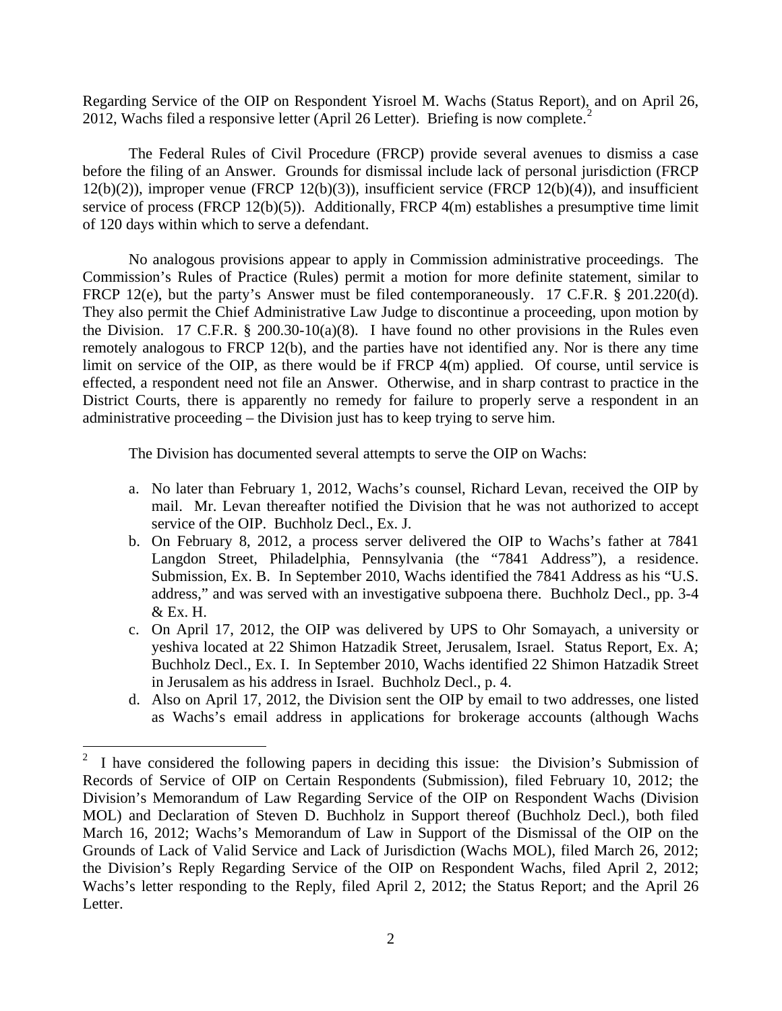Regarding Service of the OIP on Respondent Yisroel M. Wachs (Status Report), and on April 26, [2](#page-1-0)012, Wachs filed a responsive letter (April 26 Letter). Briefing is now complete. $2$ 

The Federal Rules of Civil Procedure (FRCP) provide several avenues to dismiss a case before the filing of an Answer. Grounds for dismissal include lack of personal jurisdiction (FRCP  $12(b)(2)$ ), improper venue (FRCP  $12(b)(3)$ ), insufficient service (FRCP  $12(b)(4)$ ), and insufficient service of process (FRCP 12(b)(5)). Additionally, FRCP 4(m) establishes a presumptive time limit of 120 days within which to serve a defendant.

No analogous provisions appear to apply in Commission administrative proceedings. The Commission's Rules of Practice (Rules) permit a motion for more definite statement, similar to FRCP 12(e), but the party's Answer must be filed contemporaneously. 17 C.F.R. § 201.220(d). They also permit the Chief Administrative Law Judge to discontinue a proceeding, upon motion by the Division. 17 C.F.R.  $\S$  200.30-10(a)(8). I have found no other provisions in the Rules even remotely analogous to FRCP 12(b), and the parties have not identified any. Nor is there any time limit on service of the OIP, as there would be if FRCP 4(m) applied. Of course, until service is effected, a respondent need not file an Answer. Otherwise, and in sharp contrast to practice in the District Courts, there is apparently no remedy for failure to properly serve a respondent in an administrative proceeding – the Division just has to keep trying to serve him.

The Division has documented several attempts to serve the OIP on Wachs:

- a. No later than February 1, 2012, Wachs's counsel, Richard Levan, received the OIP by mail. Mr. Levan thereafter notified the Division that he was not authorized to accept service of the OIP. Buchholz Decl., Ex. J.
- b. On February 8, 2012, a process server delivered the OIP to Wachs's father at 7841 Langdon Street, Philadelphia, Pennsylvania (the "7841 Address"), a residence. Submission, Ex. B. In September 2010, Wachs identified the 7841 Address as his "U.S. address," and was served with an investigative subpoena there. Buchholz Decl., pp. 3-4 & Ex. H.
- c. On April 17, 2012, the OIP was delivered by UPS to Ohr Somayach, a university or yeshiva located at 22 Shimon Hatzadik Street, Jerusalem, Israel. Status Report, Ex. A; Buchholz Decl., Ex. I. In September 2010, Wachs identified 22 Shimon Hatzadik Street in Jerusalem as his address in Israel. Buchholz Decl., p. 4.
- d. Also on April 17, 2012, the Division sent the OIP by email to two addresses, one listed as Wachs's email address in applications for brokerage accounts (although Wachs

<span id="page-1-0"></span> <sup>2</sup> I have considered the following papers in deciding this issue: the Division's Submission of Records of Service of OIP on Certain Respondents (Submission), filed February 10, 2012; the Division's Memorandum of Law Regarding Service of the OIP on Respondent Wachs (Division MOL) and Declaration of Steven D. Buchholz in Support thereof (Buchholz Decl.), both filed March 16, 2012; Wachs's Memorandum of Law in Support of the Dismissal of the OIP on the Grounds of Lack of Valid Service and Lack of Jurisdiction (Wachs MOL), filed March 26, 2012; the Division's Reply Regarding Service of the OIP on Respondent Wachs, filed April 2, 2012; Wachs's letter responding to the Reply, filed April 2, 2012; the Status Report; and the April 26 Letter.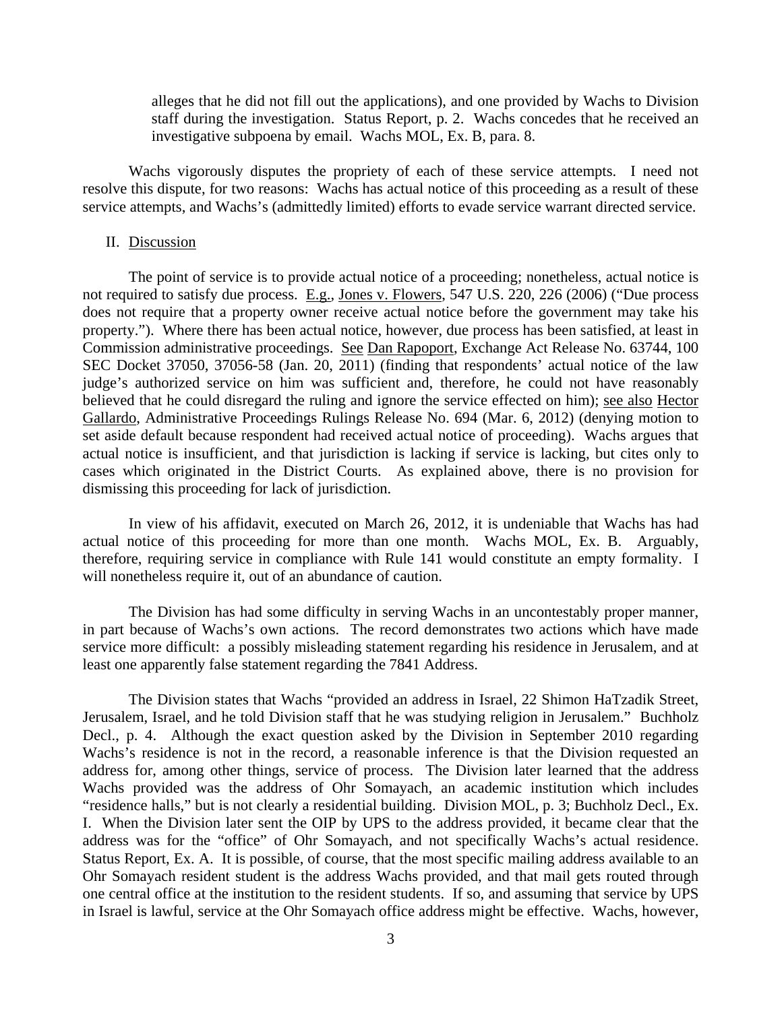alleges that he did not fill out the applications), and one provided by Wachs to Division staff during the investigation. Status Report, p. 2. Wachs concedes that he received an investigative subpoena by email. Wachs MOL, Ex. B, para. 8.

Wachs vigorously disputes the propriety of each of these service attempts. I need not resolve this dispute, for two reasons: Wachs has actual notice of this proceeding as a result of these service attempts, and Wachs's (admittedly limited) efforts to evade service warrant directed service.

#### II. Discussion

The point of service is to provide actual notice of a proceeding; nonetheless, actual notice is not required to satisfy due process. E.g., Jones v. Flowers, 547 U.S. 220, 226 (2006) ("Due process does not require that a property owner receive actual notice before the government may take his property."). Where there has been actual notice, however, due process has been satisfied, at least in Commission administrative proceedings. See Dan Rapoport, Exchange Act Release No. 63744, 100 SEC Docket 37050, 37056-58 (Jan. 20, 2011) (finding that respondents' actual notice of the law judge's authorized service on him was sufficient and, therefore, he could not have reasonably believed that he could disregard the ruling and ignore the service effected on him); see also Hector Gallardo, Administrative Proceedings Rulings Release No. 694 (Mar. 6, 2012) (denying motion to set aside default because respondent had received actual notice of proceeding). Wachs argues that actual notice is insufficient, and that jurisdiction is lacking if service is lacking, but cites only to cases which originated in the District Courts. As explained above, there is no provision for dismissing this proceeding for lack of jurisdiction.

In view of his affidavit, executed on March 26, 2012, it is undeniable that Wachs has had actual notice of this proceeding for more than one month. Wachs MOL, Ex. B. Arguably, therefore, requiring service in compliance with Rule 141 would constitute an empty formality. I will nonetheless require it, out of an abundance of caution.

The Division has had some difficulty in serving Wachs in an uncontestably proper manner, in part because of Wachs's own actions. The record demonstrates two actions which have made service more difficult: a possibly misleading statement regarding his residence in Jerusalem, and at least one apparently false statement regarding the 7841 Address.

The Division states that Wachs "provided an address in Israel, 22 Shimon HaTzadik Street, Jerusalem, Israel, and he told Division staff that he was studying religion in Jerusalem." Buchholz Decl., p. 4. Although the exact question asked by the Division in September 2010 regarding Wachs's residence is not in the record, a reasonable inference is that the Division requested an address for, among other things, service of process. The Division later learned that the address Wachs provided was the address of Ohr Somayach, an academic institution which includes "residence halls," but is not clearly a residential building. Division MOL, p. 3; Buchholz Decl., Ex. I. When the Division later sent the OIP by UPS to the address provided, it became clear that the address was for the "office" of Ohr Somayach, and not specifically Wachs's actual residence. Status Report, Ex. A. It is possible, of course, that the most specific mailing address available to an Ohr Somayach resident student is the address Wachs provided, and that mail gets routed through one central office at the institution to the resident students. If so, and assuming that service by UPS in Israel is lawful, service at the Ohr Somayach office address might be effective. Wachs, however,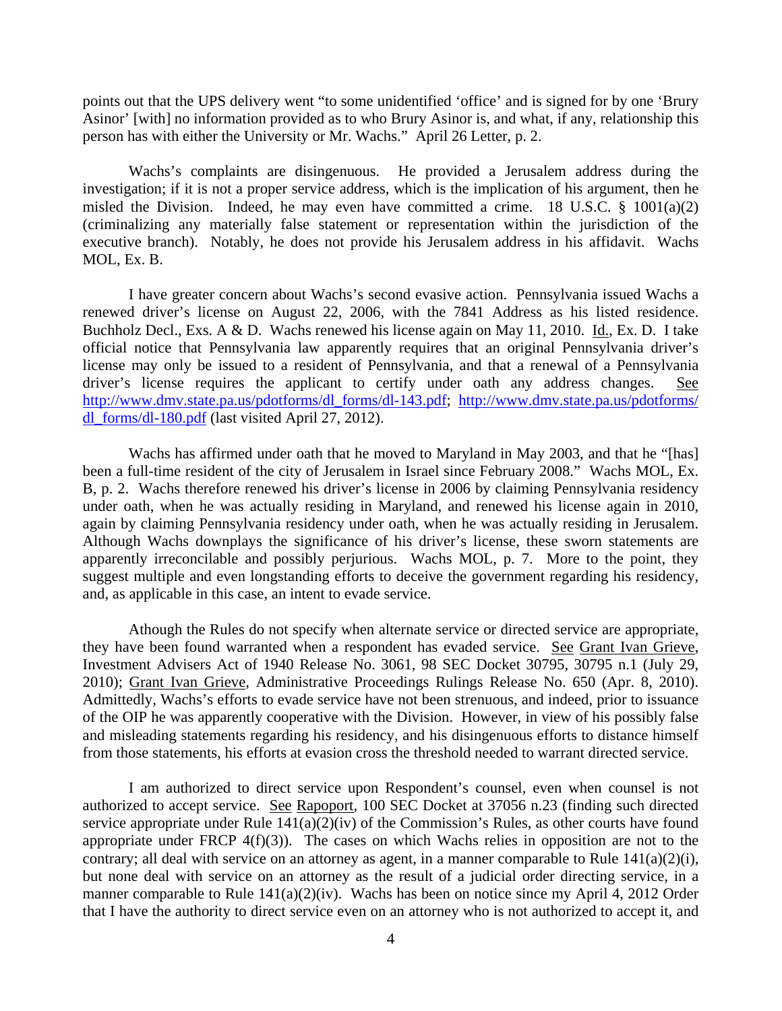points out that the UPS delivery went "to some unidentified 'office' and is signed for by one 'Brury Asinor' [with] no information provided as to who Brury Asinor is, and what, if any, relationship this person has with either the University or Mr. Wachs." April 26 Letter, p. 2.

Wachs's complaints are disingenuous. He provided a Jerusalem address during the investigation; if it is not a proper service address, which is the implication of his argument, then he misled the Division. Indeed, he may even have committed a crime. 18 U.S.C. § 1001(a)(2) (criminalizing any materially false statement or representation within the jurisdiction of the executive branch). Notably, he does not provide his Jerusalem address in his affidavit. Wachs MOL, Ex. B.

I have greater concern about Wachs's second evasive action. Pennsylvania issued Wachs a renewed driver's license on August 22, 2006, with the 7841 Address as his listed residence. Buchholz Decl., Exs. A & D. Wachs renewed his license again on May 11, 2010. Id., Ex. D. I take official notice that Pennsylvania law apparently requires that an original Pennsylvania driver's license may only be issued to a resident of Pennsylvania, and that a renewal of a Pennsylvania driver's license requires the applicant to certify under oath any address changes. See [http://www.dmv.state.pa.us/pdotforms/dl\\_forms/dl-143.pdf;](http://www.dmv.state.pa.us/pdotforms/dl_forms/dl-143.pdf) [http://www.dmv.state.pa.us/pdotforms/](http://www.dmv.state.pa.us/pdotforms/%20dl_forms/dl-180.pdf)  [dl\\_forms/dl-180.pdf](http://www.dmv.state.pa.us/pdotforms/%20dl_forms/dl-180.pdf) (last visited April 27, 2012).

Wachs has affirmed under oath that he moved to Maryland in May 2003, and that he "[has] been a full-time resident of the city of Jerusalem in Israel since February 2008." Wachs MOL, Ex. B, p. 2. Wachs therefore renewed his driver's license in 2006 by claiming Pennsylvania residency under oath, when he was actually residing in Maryland, and renewed his license again in 2010, again by claiming Pennsylvania residency under oath, when he was actually residing in Jerusalem. Although Wachs downplays the significance of his driver's license, these sworn statements are apparently irreconcilable and possibly perjurious. Wachs MOL, p. 7. More to the point, they suggest multiple and even longstanding efforts to deceive the government regarding his residency, and, as applicable in this case, an intent to evade service.

Athough the Rules do not specify when alternate service or directed service are appropriate, they have been found warranted when a respondent has evaded service. See Grant Ivan Grieve, Investment Advisers Act of 1940 Release No. 3061, 98 SEC Docket 30795, 30795 n.1 (July 29, 2010); Grant Ivan Grieve, Administrative Proceedings Rulings Release No. 650 (Apr. 8, 2010). Admittedly, Wachs's efforts to evade service have not been strenuous, and indeed, prior to issuance of the OIP he was apparently cooperative with the Division. However, in view of his possibly false and misleading statements regarding his residency, and his disingenuous efforts to distance himself from those statements, his efforts at evasion cross the threshold needed to warrant directed service.

I am authorized to direct service upon Respondent's counsel, even when counsel is not authorized to accept service. See Rapoport, 100 SEC Docket at 37056 n.23 (finding such directed service appropriate under Rule  $\overline{141(a)(2)(iv)}$  of the Commission's Rules, as other courts have found appropriate under FRCP  $4(f)(3)$ . The cases on which Wachs relies in opposition are not to the contrary; all deal with service on an attorney as agent, in a manner comparable to Rule 141(a)(2)(i), but none deal with service on an attorney as the result of a judicial order directing service, in a manner comparable to Rule 141(a)(2)(iv). Wachs has been on notice since my April 4, 2012 Order that I have the authority to direct service even on an attorney who is not authorized to accept it, and